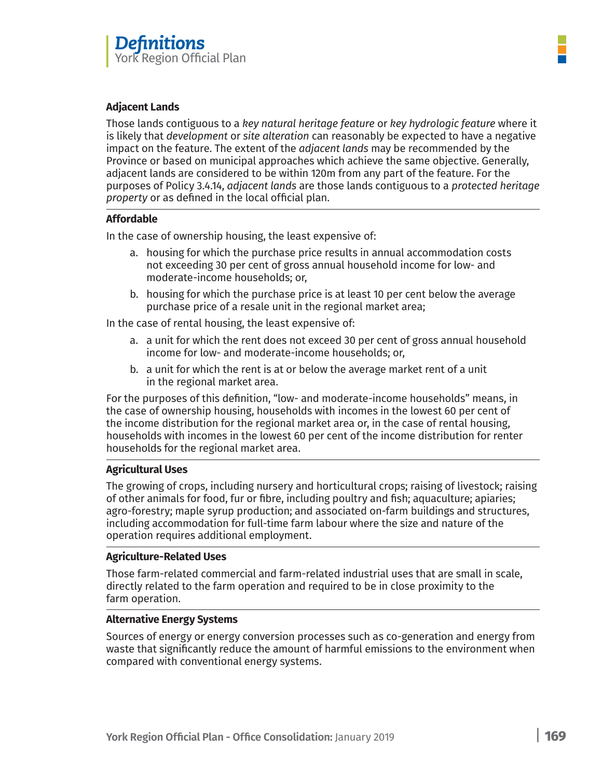# **Adjacent Lands**

Those lands contiguous to a *key natural heritage feature* or *key hydrologic feature* where it is likely that *development* or *site alteration* can reasonably be expected to have a negative impact on the feature. The extent of the *adjacent lands* may be recommended by the Province or based on municipal approaches which achieve the same objective. Generally, adjacent lands are considered to be within 120m from any part of the feature. For the purposes of Policy 3.4.14, *adjacent lands* are those lands contiguous to a *protected heritage property* or as defined in the local official plan.

# **Affordable**

In the case of ownership housing, the least expensive of:

- a. housing for which the purchase price results in annual accommodation costs not exceeding 30 per cent of gross annual household income for low- and moderate-income households; or,
- b. housing for which the purchase price is at least 10 per cent below the average purchase price of a resale unit in the regional market area;

In the case of rental housing, the least expensive of:

- a. a unit for which the rent does not exceed 30 per cent of gross annual household income for low- and moderate-income households; or,
- b. a unit for which the rent is at or below the average market rent of a unit in the regional market area.

For the purposes of this definition, "low- and moderate-income households" means, in the case of ownership housing, households with incomes in the lowest 60 per cent of the income distribution for the regional market area or, in the case of rental housing, households with incomes in the lowest 60 per cent of the income distribution for renter households for the regional market area.

# **Agricultural Uses**

The growing of crops, including nursery and horticultural crops; raising of livestock; raising of other animals for food, fur or fibre, including poultry and fish; aquaculture; apiaries; agro-forestry; maple syrup production; and associated on-farm buildings and structures, including accommodation for full-time farm labour where the size and nature of the operation requires additional employment.

### **Agriculture-Related Uses**

Those farm-related commercial and farm-related industrial uses that are small in scale, directly related to the farm operation and required to be in close proximity to the farm operation.

### **Alternative Energy Systems**

Sources of energy or energy conversion processes such as co-generation and energy from waste that significantly reduce the amount of harmful emissions to the environment when compared with conventional energy systems.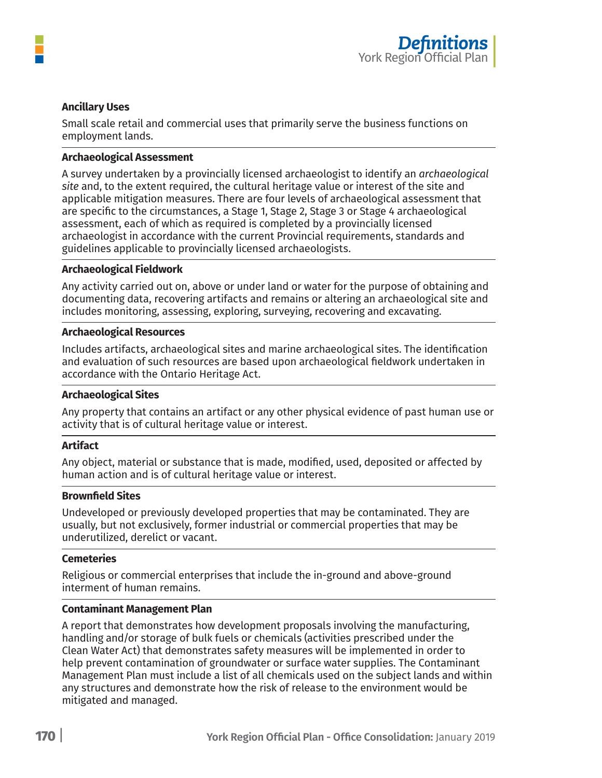

# **Ancillary Uses**

Small scale retail and commercial uses that primarily serve the business functions on employment lands.

#### **Archaeological Assessment**

A survey undertaken by a provincially licensed archaeologist to identify an *archaeological site* and, to the extent required, the cultural heritage value or interest of the site and applicable mitigation measures. There are four levels of archaeological assessment that are specific to the circumstances, a Stage 1, Stage 2, Stage 3 or Stage 4 archaeological assessment, each of which as required is completed by a provincially licensed archaeologist in accordance with the current Provincial requirements, standards and guidelines applicable to provincially licensed archaeologists.

#### **Archaeological Fieldwork**

Any activity carried out on, above or under land or water for the purpose of obtaining and documenting data, recovering artifacts and remains or altering an archaeological site and includes monitoring, assessing, exploring, surveying, recovering and excavating.

#### **Archaeological Resources**

Includes artifacts, archaeological sites and marine archaeological sites. The identification and evaluation of such resources are based upon archaeological fieldwork undertaken in accordance with the Ontario Heritage Act.

#### **Archaeological Sites**

Any property that contains an artifact or any other physical evidence of past human use or activity that is of cultural heritage value or interest.

# **Artifact**

Any object, material or substance that is made, modified, used, deposited or affected by human action and is of cultural heritage value or interest.

#### **Brownfield Sites**

Undeveloped or previously developed properties that may be contaminated. They are usually, but not exclusively, former industrial or commercial properties that may be underutilized, derelict or vacant.

#### **Cemeteries**

Religious or commercial enterprises that include the in-ground and above-ground interment of human remains.

#### **Contaminant Management Plan**

A report that demonstrates how development proposals involving the manufacturing, handling and/or storage of bulk fuels or chemicals (activities prescribed under the Clean Water Act) that demonstrates safety measures will be implemented in order to help prevent contamination of groundwater or surface water supplies. The Contaminant Management Plan must include a list of all chemicals used on the subject lands and within any structures and demonstrate how the risk of release to the environment would be mitigated and managed.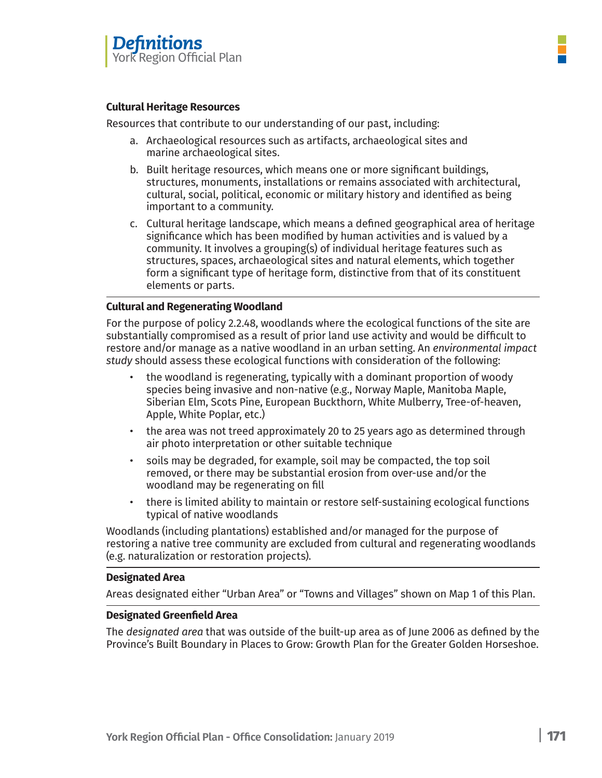

### **Cultural Heritage Resources**

Resources that contribute to our understanding of our past, including:

- a. Archaeological resources such as artifacts, archaeological sites and marine archaeological sites.
- b. Built heritage resources, which means one or more significant buildings, structures, monuments, installations or remains associated with architectural, cultural, social, political, economic or military history and identified as being important to a community.
- c. Cultural heritage landscape, which means a defined geographical area of heritage significance which has been modified by human activities and is valued by a community. It involves a grouping(s) of individual heritage features such as structures, spaces, archaeological sites and natural elements, which together form a significant type of heritage form, distinctive from that of its constituent elements or parts.

# **Cultural and Regenerating Woodland**

For the purpose of policy 2.2.48, woodlands where the ecological functions of the site are substantially compromised as a result of prior land use activity and would be difficult to restore and/or manage as a native woodland in an urban setting. An *environmental impact study* should assess these ecological functions with consideration of the following:

- the woodland is regenerating, typically with a dominant proportion of woody species being invasive and non-native (e.g., Norway Maple, Manitoba Maple, Siberian Elm, Scots Pine, European Buckthorn, White Mulberry, Tree-of-heaven, Apple, White Poplar, etc.)
- the area was not treed approximately 20 to 25 years ago as determined through air photo interpretation or other suitable technique
- soils may be degraded, for example, soil may be compacted, the top soil removed, or there may be substantial erosion from over-use and/or the woodland may be regenerating on fill
- there is limited ability to maintain or restore self-sustaining ecological functions typical of native woodlands

Woodlands (including plantations) established and/or managed for the purpose of restoring a native tree community are excluded from cultural and regenerating woodlands (e.g. naturalization or restoration projects).

### **Designated Area**

Areas designated either "Urban Area" or "Towns and Villages" shown on Map 1 of this Plan.

# **Designated Greenfield Area**

The *designated area* that was outside of the built-up area as of June 2006 as defined by the Province's Built Boundary in Places to Grow: Growth Plan for the Greater Golden Horseshoe.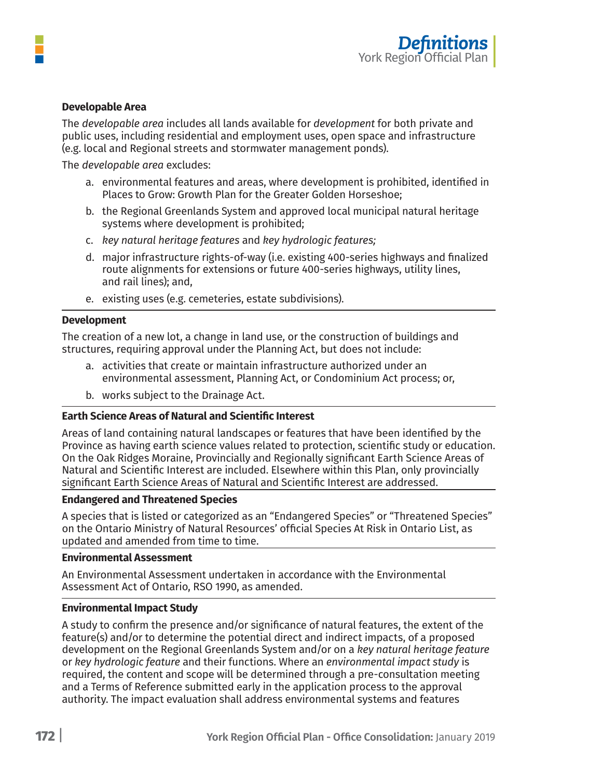# **Developable Area**

The *developable area* includes all lands available for *development* for both private and public uses, including residential and employment uses, open space and infrastructure (e.g. local and Regional streets and stormwater management ponds).

The *developable area* excludes:

- a. environmental features and areas, where development is prohibited, identified in Places to Grow: Growth Plan for the Greater Golden Horseshoe;
- b. the Regional Greenlands System and approved local municipal natural heritage systems where development is prohibited;
- c. *key natural heritage features* and *key hydrologic features;*
- d. major infrastructure rights-of-way (i.e. existing 400-series highways and finalized route alignments for extensions or future 400-series highways, utility lines, and rail lines); and,
- e. existing uses (e.g. cemeteries, estate subdivisions).

### **Development**

The creation of a new lot, a change in land use, or the construction of buildings and structures, requiring approval under the Planning Act, but does not include:

- a. activities that create or maintain infrastructure authorized under an environmental assessment, Planning Act, or Condominium Act process; or,
- b. works subject to the Drainage Act.

## **Earth Science Areas of Natural and Scientific Interest**

Areas of land containing natural landscapes or features that have been identified by the Province as having earth science values related to protection, scientific study or education. On the Oak Ridges Moraine, Provincially and Regionally significant Earth Science Areas of Natural and Scientific Interest are included. Elsewhere within this Plan, only provincially significant Earth Science Areas of Natural and Scientific Interest are addressed.

### **Endangered and Threatened Species**

A species that is listed or categorized as an "Endangered Species" or "Threatened Species" on the Ontario Ministry of Natural Resources' official Species At Risk in Ontario List, as updated and amended from time to time.

### **Environmental Assessment**

An Environmental Assessment undertaken in accordance with the Environmental Assessment Act of Ontario, RSO 1990, as amended.

### **Environmental Impact Study**

A study to confirm the presence and/or significance of natural features, the extent of the feature(s) and/or to determine the potential direct and indirect impacts, of a proposed development on the Regional Greenlands System and/or on a *key natural heritage feature* or *key hydrologic feature* and their functions. Where an *environmental impact study* is required, the content and scope will be determined through a pre-consultation meeting and a Terms of Reference submitted early in the application process to the approval authority. The impact evaluation shall address environmental systems and features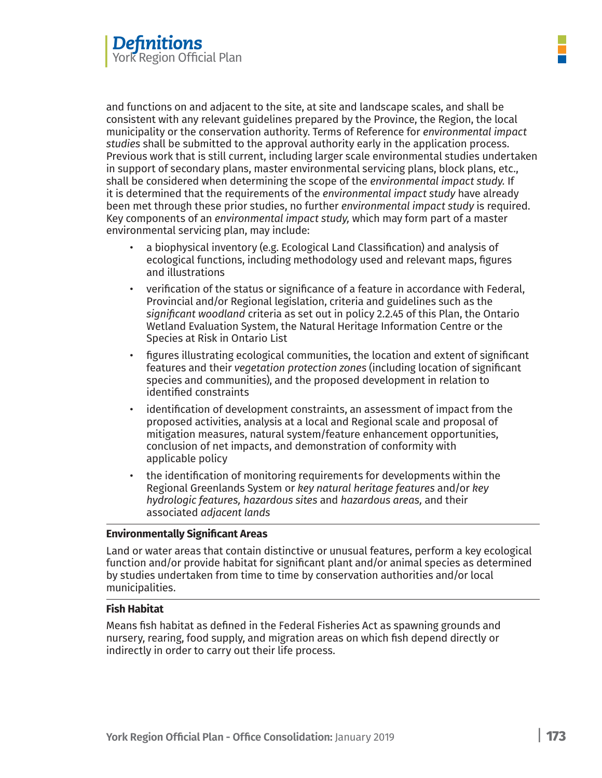and functions on and adjacent to the site, at site and landscape scales, and shall be consistent with any relevant guidelines prepared by the Province, the Region, the local municipality or the conservation authority. Terms of Reference for *environmental impact studies* shall be submitted to the approval authority early in the application process. Previous work that is still current, including larger scale environmental studies undertaken in support of secondary plans, master environmental servicing plans, block plans, etc., shall be considered when determining the scope of the *environmental impact study.* If it is determined that the requirements of the *environmental impact study* have already been met through these prior studies, no further *environmental impact study* is required. Key components of an *environmental impact study,* which may form part of a master environmental servicing plan, may include:

- a biophysical inventory (e.g. Ecological Land Classification) and analysis of ecological functions, including methodology used and relevant maps, figures and illustrations
- verification of the status or significance of a feature in accordance with Federal, Provincial and/or Regional legislation, criteria and guidelines such as the *significant woodland* criteria as set out in policy 2.2.45 of this Plan, the Ontario Wetland Evaluation System, the Natural Heritage Information Centre or the Species at Risk in Ontario List
- figures illustrating ecological communities, the location and extent of significant features and their *vegetation protection zones* (including location of significant species and communities), and the proposed development in relation to identified constraints
- identification of development constraints, an assessment of impact from the proposed activities, analysis at a local and Regional scale and proposal of mitigation measures, natural system/feature enhancement opportunities, conclusion of net impacts, and demonstration of conformity with applicable policy
- the identification of monitoring requirements for developments within the Regional Greenlands System or *key natural heritage features* and/or *key hydrologic features, hazardous sites* and *hazardous areas,* and their associated *adjacent lands*

# **Environmentally Significant Areas**

Land or water areas that contain distinctive or unusual features, perform a key ecological function and/or provide habitat for significant plant and/or animal species as determined by studies undertaken from time to time by conservation authorities and/or local municipalities.

### **Fish Habitat**

Means fish habitat as defined in the Federal Fisheries Act as spawning grounds and nursery, rearing, food supply, and migration areas on which fish depend directly or indirectly in order to carry out their life process.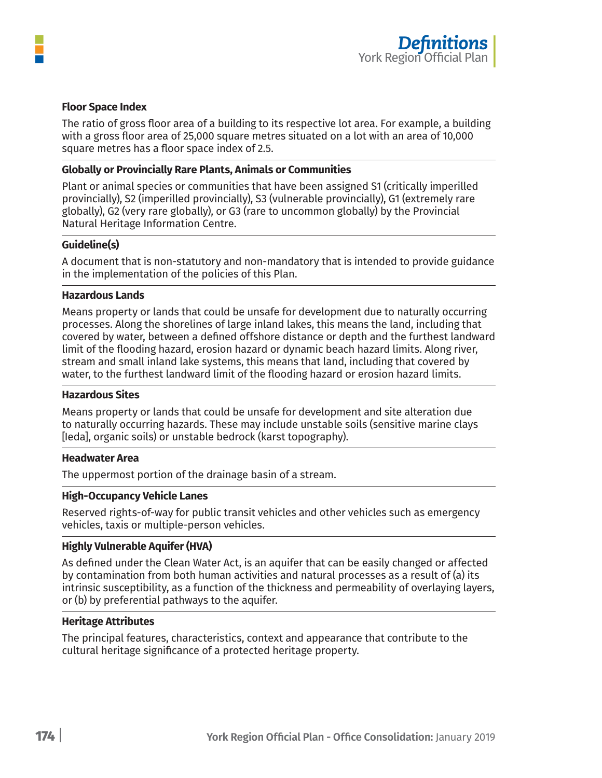

### **Floor Space Index**

The ratio of gross floor area of a building to its respective lot area. For example, a building with a gross floor area of 25,000 square metres situated on a lot with an area of 10,000 square metres has a floor space index of 2.5.

### **Globally or Provincially Rare Plants, Animals or Communities**

Plant or animal species or communities that have been assigned S1 (critically imperilled provincially), S2 (imperilled provincially), S3 (vulnerable provincially), G1 (extremely rare globally), G2 (very rare globally), or G3 (rare to uncommon globally) by the Provincial Natural Heritage Information Centre.

### **Guideline(s)**

A document that is non-statutory and non-mandatory that is intended to provide guidance in the implementation of the policies of this Plan.

#### **Hazardous Lands**

Means property or lands that could be unsafe for development due to naturally occurring processes. Along the shorelines of large inland lakes, this means the land, including that covered by water, between a defined offshore distance or depth and the furthest landward limit of the flooding hazard, erosion hazard or dynamic beach hazard limits. Along river, stream and small inland lake systems, this means that land, including that covered by water, to the furthest landward limit of the flooding hazard or erosion hazard limits.

#### **Hazardous Sites**

Means property or lands that could be unsafe for development and site alteration due to naturally occurring hazards. These may include unstable soils (sensitive marine clays [Ieda], organic soils) or unstable bedrock (karst topography).

### **Headwater Area**

The uppermost portion of the drainage basin of a stream.

### **High-Occupancy Vehicle Lanes**

Reserved rights-of-way for public transit vehicles and other vehicles such as emergency vehicles, taxis or multiple-person vehicles.

### **Highly Vulnerable Aquifer (HVA)**

As defined under the Clean Water Act, is an aquifer that can be easily changed or affected by contamination from both human activities and natural processes as a result of (a) its intrinsic susceptibility, as a function of the thickness and permeability of overlaying layers, or (b) by preferential pathways to the aquifer.

### **Heritage Attributes**

The principal features, characteristics, context and appearance that contribute to the cultural heritage significance of a protected heritage property.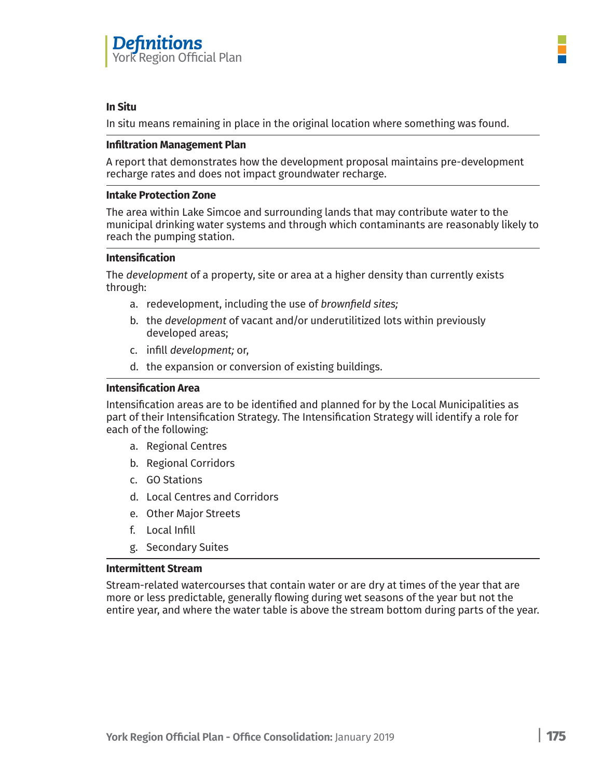

# **In Situ**

In situ means remaining in place in the original location where something was found.

# **Infiltration Management Plan**

A report that demonstrates how the development proposal maintains pre-development recharge rates and does not impact groundwater recharge.

# **Intake Protection Zone**

The area within Lake Simcoe and surrounding lands that may contribute water to the municipal drinking water systems and through which contaminants are reasonably likely to reach the pumping station.

# **Intensification**

The *development* of a property, site or area at a higher density than currently exists through:

- a. redevelopment, including the use of *brownfield sites;*
- b. the *development* of vacant and/or underutilitized lots within previously developed areas;
- c. infill *development;* or,
- d. the expansion or conversion of existing buildings.

# **Intensification Area**

Intensification areas are to be identified and planned for by the Local Municipalities as part of their Intensification Strategy. The Intensification Strategy will identify a role for each of the following:

- a. Regional Centres
- b. Regional Corridors
- c. GO Stations
- d. Local Centres and Corridors
- e. Other Major Streets
- f. Local Infill
- g. Secondary Suites

### **Intermittent Stream**

Stream-related watercourses that contain water or are dry at times of the year that are more or less predictable, generally flowing during wet seasons of the year but not the entire year, and where the water table is above the stream bottom during parts of the year.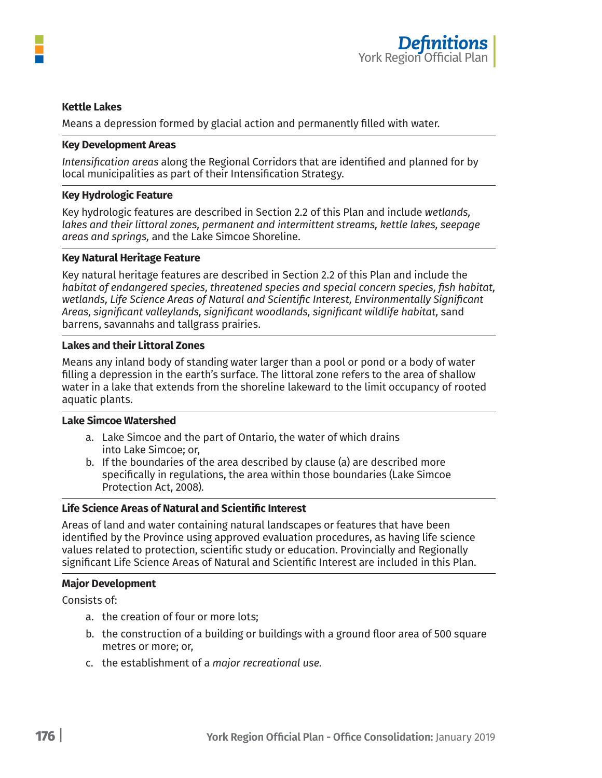

### **Kettle Lakes**

Means a depression formed by glacial action and permanently filled with water.

#### **Key Development Areas**

*Intensification areas* along the Regional Corridors that are identified and planned for by local municipalities as part of their Intensification Strategy.

### **Key Hydrologic Feature**

Key hydrologic features are described in Section 2.2 of this Plan and include *wetlands, lakes and their littoral zones, permanent and intermittent streams, kettle lakes, seepage areas and springs,* and the Lake Simcoe Shoreline.

#### **Key Natural Heritage Feature**

Key natural heritage features are described in Section 2.2 of this Plan and include the *habitat of endangered species, threatened species and special concern species, fish habitat, wetlands, Life Science Areas of Natural and Scientific Interest, Environmentally Significant Areas, significant valleylands, significant woodlands, significant wildlife habitat,* sand barrens, savannahs and tallgrass prairies.

#### **Lakes and their Littoral Zones**

Means any inland body of standing water larger than a pool or pond or a body of water filling a depression in the earth's surface. The littoral zone refers to the area of shallow water in a lake that extends from the shoreline lakeward to the limit occupancy of rooted aquatic plants.

#### **Lake Simcoe Watershed**

- a. Lake Simcoe and the part of Ontario, the water of which drains into Lake Simcoe; or,
- b. If the boundaries of the area described by clause (a) are described more specifically in regulations, the area within those boundaries (Lake Simcoe Protection Act, 2008).

# **Life Science Areas of Natural and Scientific Interest**

Areas of land and water containing natural landscapes or features that have been identified by the Province using approved evaluation procedures, as having life science values related to protection, scientific study or education. Provincially and Regionally significant Life Science Areas of Natural and Scientific Interest are included in this Plan.

### **Major Development**

Consists of:

- a. the creation of four or more lots;
- b. the construction of a building or buildings with a ground floor area of 500 square metres or more; or,
- c. the establishment of a *major recreational use.*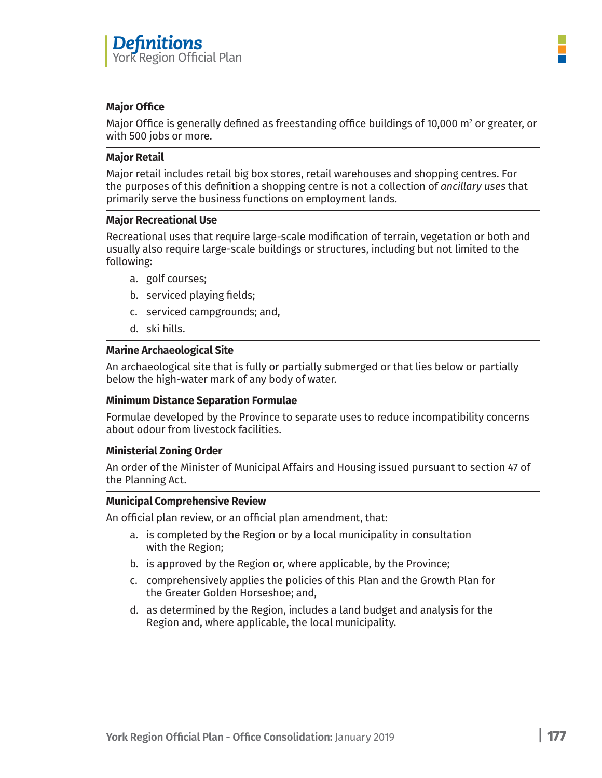

# **Major Office**

Major Office is generally defined as freestanding office buildings of 10,000  $\mathrm{m}^{\text{2}}$  or greater, or with 500 jobs or more.

# **Major Retail**

Major retail includes retail big box stores, retail warehouses and shopping centres. For the purposes of this definition a shopping centre is not a collection of *ancillary uses* that primarily serve the business functions on employment lands.

# **Major Recreational Use**

Recreational uses that require large-scale modification of terrain, vegetation or both and usually also require large-scale buildings or structures, including but not limited to the following:

- a. golf courses;
- b. serviced playing fields;
- c. serviced campgrounds; and,
- d. ski hills.

# **Marine Archaeological Site**

An archaeological site that is fully or partially submerged or that lies below or partially below the high-water mark of any body of water.

### **Minimum Distance Separation Formulae**

Formulae developed by the Province to separate uses to reduce incompatibility concerns about odour from livestock facilities.

### **Ministerial Zoning Order**

An order of the Minister of Municipal Affairs and Housing issued pursuant to section 47 of the Planning Act.

### **Municipal Comprehensive Review**

An official plan review, or an official plan amendment, that:

- a. is completed by the Region or by a local municipality in consultation with the Region;
- b. is approved by the Region or, where applicable, by the Province;
- c. comprehensively applies the policies of this Plan and the Growth Plan for the Greater Golden Horseshoe; and,
- d. as determined by the Region, includes a land budget and analysis for the Region and, where applicable, the local municipality.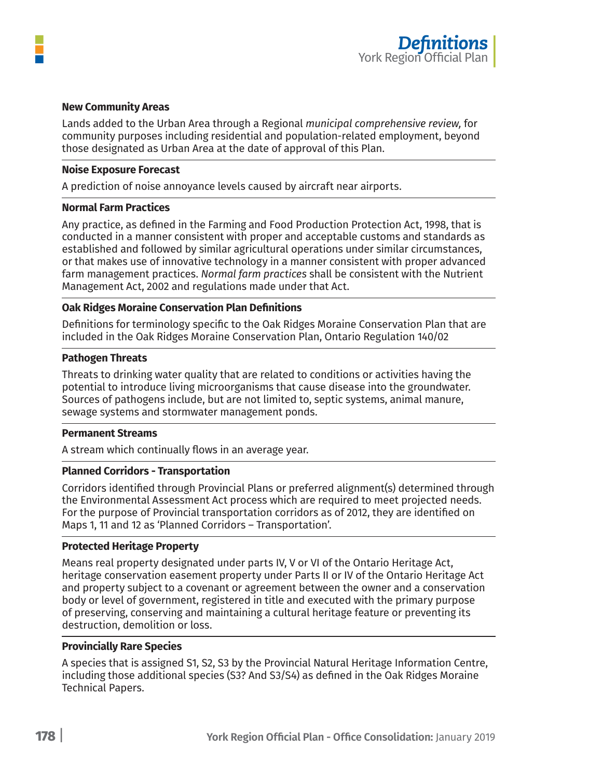

#### **New Community Areas**

Lands added to the Urban Area through a Regional *municipal comprehensive review,* for community purposes including residential and population-related employment, beyond those designated as Urban Area at the date of approval of this Plan.

#### **Noise Exposure Forecast**

A prediction of noise annoyance levels caused by aircraft near airports.

#### **Normal Farm Practices**

Any practice, as defined in the Farming and Food Production Protection Act, 1998, that is conducted in a manner consistent with proper and acceptable customs and standards as established and followed by similar agricultural operations under similar circumstances, or that makes use of innovative technology in a manner consistent with proper advanced farm management practices. *Normal farm practices* shall be consistent with the Nutrient Management Act, 2002 and regulations made under that Act.

# **Oak Ridges Moraine Conservation Plan Definitions**

Definitions for terminology specific to the Oak Ridges Moraine Conservation Plan that are included in the Oak Ridges Moraine Conservation Plan, Ontario Regulation 140/02

#### **Pathogen Threats**

Threats to drinking water quality that are related to conditions or activities having the potential to introduce living microorganisms that cause disease into the groundwater. Sources of pathogens include, but are not limited to, septic systems, animal manure, sewage systems and stormwater management ponds.

#### **Permanent Streams**

A stream which continually flows in an average year.

#### **Planned Corridors - Transportation**

Corridors identified through Provincial Plans or preferred alignment(s) determined through the Environmental Assessment Act process which are required to meet projected needs. For the purpose of Provincial transportation corridors as of 2012, they are identified on Maps 1, 11 and 12 as 'Planned Corridors – Transportation'.

#### **Protected Heritage Property**

Means real property designated under parts IV, V or VI of the Ontario Heritage Act, heritage conservation easement property under Parts II or IV of the Ontario Heritage Act and property subject to a covenant or agreement between the owner and a conservation body or level of government, registered in title and executed with the primary purpose of preserving, conserving and maintaining a cultural heritage feature or preventing its destruction, demolition or loss.

#### **Provincially Rare Species**

A species that is assigned S1, S2, S3 by the Provincial Natural Heritage Information Centre, including those additional species (S3? And S3/S4) as defined in the Oak Ridges Moraine Technical Papers.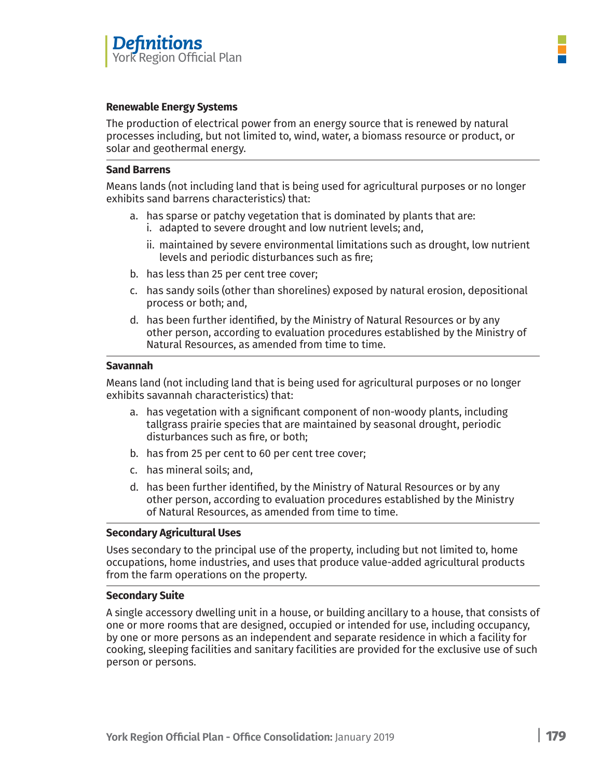

# **Renewable Energy Systems**

The production of electrical power from an energy source that is renewed by natural processes including, but not limited to, wind, water, a biomass resource or product, or solar and geothermal energy.

# **Sand Barrens**

Means lands (not including land that is being used for agricultural purposes or no longer exhibits sand barrens characteristics) that:

- a. has sparse or patchy vegetation that is dominated by plants that are:
	- i. adapted to severe drought and low nutrient levels; and,
	- ii. maintained by severe environmental limitations such as drought, low nutrient levels and periodic disturbances such as fire;
- b. has less than 25 per cent tree cover;
- c. has sandy soils (other than shorelines) exposed by natural erosion, depositional process or both; and,
- d. has been further identified, by the Ministry of Natural Resources or by any other person, according to evaluation procedures established by the Ministry of Natural Resources, as amended from time to time.

# **Savannah**

Means land (not including land that is being used for agricultural purposes or no longer exhibits savannah characteristics) that:

- a. has vegetation with a significant component of non-woody plants, including tallgrass prairie species that are maintained by seasonal drought, periodic disturbances such as fire, or both;
- b. has from 25 per cent to 60 per cent tree cover;
- c. has mineral soils; and,
- d. has been further identified, by the Ministry of Natural Resources or by any other person, according to evaluation procedures established by the Ministry of Natural Resources, as amended from time to time.

# **Secondary Agricultural Uses**

Uses secondary to the principal use of the property, including but not limited to, home occupations, home industries, and uses that produce value-added agricultural products from the farm operations on the property.

### **Secondary Suite**

A single accessory dwelling unit in a house, or building ancillary to a house, that consists of one or more rooms that are designed, occupied or intended for use, including occupancy, by one or more persons as an independent and separate residence in which a facility for cooking, sleeping facilities and sanitary facilities are provided for the exclusive use of such person or persons.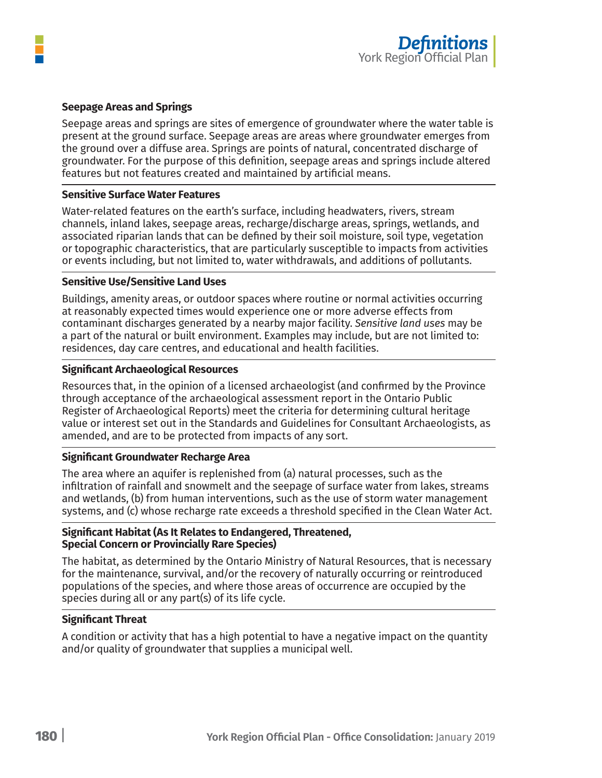



# **Seepage Areas and Springs**

Seepage areas and springs are sites of emergence of groundwater where the water table is present at the ground surface. Seepage areas are areas where groundwater emerges from the ground over a diffuse area. Springs are points of natural, concentrated discharge of groundwater. For the purpose of this definition, seepage areas and springs include altered features but not features created and maintained by artificial means.

# **Sensitive Surface Water Features**

Water-related features on the earth's surface, including headwaters, rivers, stream channels, inland lakes, seepage areas, recharge/discharge areas, springs, wetlands, and associated riparian lands that can be defined by their soil moisture, soil type, vegetation or topographic characteristics, that are particularly susceptible to impacts from activities or events including, but not limited to, water withdrawals, and additions of pollutants.

# **Sensitive Use/Sensitive Land Uses**

Buildings, amenity areas, or outdoor spaces where routine or normal activities occurring at reasonably expected times would experience one or more adverse effects from contaminant discharges generated by a nearby major facility. *Sensitive land uses* may be a part of the natural or built environment. Examples may include, but are not limited to: residences, day care centres, and educational and health facilities.

# **Significant Archaeological Resources**

Resources that, in the opinion of a licensed archaeologist (and confirmed by the Province through acceptance of the archaeological assessment report in the Ontario Public Register of Archaeological Reports) meet the criteria for determining cultural heritage value or interest set out in the Standards and Guidelines for Consultant Archaeologists, as amended, and are to be protected from impacts of any sort.

### **Significant Groundwater Recharge Area**

The area where an aquifer is replenished from (a) natural processes, such as the infiltration of rainfall and snowmelt and the seepage of surface water from lakes, streams and wetlands, (b) from human interventions, such as the use of storm water management systems, and (c) whose recharge rate exceeds a threshold specified in the Clean Water Act.

# **Significant Habitat (As It Relates to Endangered, Threatened, Special Concern or Provincially Rare Species)**

The habitat, as determined by the Ontario Ministry of Natural Resources, that is necessary for the maintenance, survival, and/or the recovery of naturally occurring or reintroduced populations of the species, and where those areas of occurrence are occupied by the species during all or any part(s) of its life cycle.

# **Significant Threat**

A condition or activity that has a high potential to have a negative impact on the quantity and/or quality of groundwater that supplies a municipal well.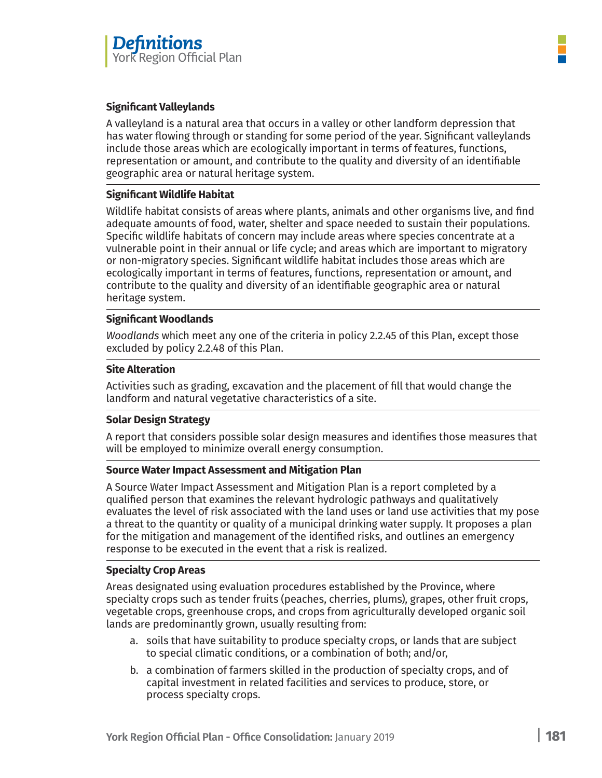

# **Significant Valleylands**

A valleyland is a natural area that occurs in a valley or other landform depression that has water flowing through or standing for some period of the year. Significant valleylands include those areas which are ecologically important in terms of features, functions, representation or amount, and contribute to the quality and diversity of an identifiable geographic area or natural heritage system.

# **Significant Wildlife Habitat**

Wildlife habitat consists of areas where plants, animals and other organisms live, and find adequate amounts of food, water, shelter and space needed to sustain their populations. Specific wildlife habitats of concern may include areas where species concentrate at a vulnerable point in their annual or life cycle; and areas which are important to migratory or non-migratory species. Significant wildlife habitat includes those areas which are ecologically important in terms of features, functions, representation or amount, and contribute to the quality and diversity of an identifiable geographic area or natural heritage system.

# **Significant Woodlands**

*Woodlands* which meet any one of the criteria in policy 2.2.45 of this Plan, except those excluded by policy 2.2.48 of this Plan.

# **Site Alteration**

Activities such as grading, excavation and the placement of fill that would change the landform and natural vegetative characteristics of a site.

# **Solar Design Strategy**

A report that considers possible solar design measures and identifies those measures that will be employed to minimize overall energy consumption.

# **Source Water Impact Assessment and Mitigation Plan**

A Source Water Impact Assessment and Mitigation Plan is a report completed by a qualified person that examines the relevant hydrologic pathways and qualitatively evaluates the level of risk associated with the land uses or land use activities that my pose a threat to the quantity or quality of a municipal drinking water supply. It proposes a plan for the mitigation and management of the identified risks, and outlines an emergency response to be executed in the event that a risk is realized.

# **Specialty Crop Areas**

Areas designated using evaluation procedures established by the Province, where specialty crops such as tender fruits (peaches, cherries, plums), grapes, other fruit crops, vegetable crops, greenhouse crops, and crops from agriculturally developed organic soil lands are predominantly grown, usually resulting from:

- a. soils that have suitability to produce specialty crops, or lands that are subject to special climatic conditions, or a combination of both; and/or,
- b. a combination of farmers skilled in the production of specialty crops, and of capital investment in related facilities and services to produce, store, or process specialty crops.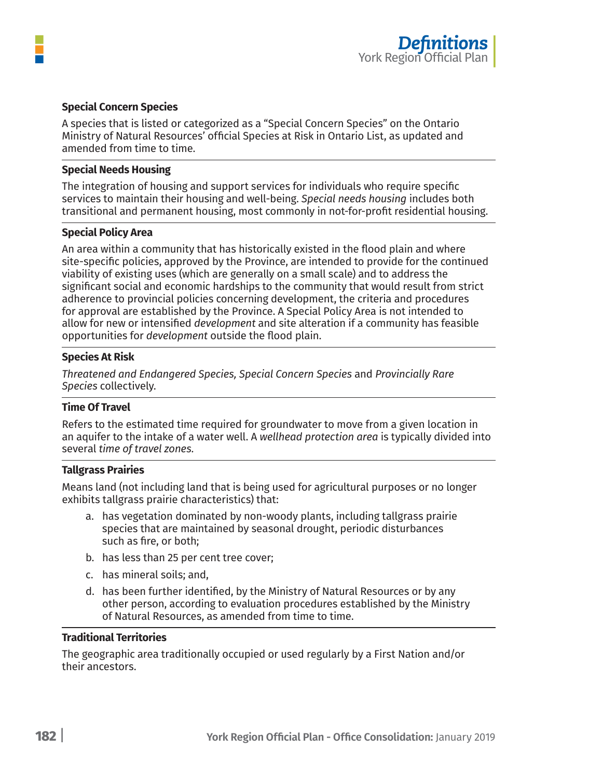

# **Special Concern Species**

A species that is listed or categorized as a "Special Concern Species" on the Ontario Ministry of Natural Resources' official Species at Risk in Ontario List, as updated and amended from time to time.

#### **Special Needs Housing**

The integration of housing and support services for individuals who require specific services to maintain their housing and well-being. *Special needs housing* includes both transitional and permanent housing, most commonly in not-for-profit residential housing.

### **Special Policy Area**

An area within a community that has historically existed in the flood plain and where site-specific policies, approved by the Province, are intended to provide for the continued viability of existing uses (which are generally on a small scale) and to address the significant social and economic hardships to the community that would result from strict adherence to provincial policies concerning development, the criteria and procedures for approval are established by the Province. A Special Policy Area is not intended to allow for new or intensified *development* and site alteration if a community has feasible opportunities for *development* outside the flood plain.

#### **Species At Risk**

*Threatened and Endangered Species, Special Concern Species* and *Provincially Rare Species* collectively.

#### **Time Of Travel**

Refers to the estimated time required for groundwater to move from a given location in an aquifer to the intake of a water well. A *wellhead protection area* is typically divided into several *time of travel zones.*

### **Tallgrass Prairies**

Means land (not including land that is being used for agricultural purposes or no longer exhibits tallgrass prairie characteristics) that:

- a. has vegetation dominated by non-woody plants, including tallgrass prairie species that are maintained by seasonal drought, periodic disturbances such as fire, or both;
- b. has less than 25 per cent tree cover;
- c. has mineral soils; and,
- d. has been further identified, by the Ministry of Natural Resources or by any other person, according to evaluation procedures established by the Ministry of Natural Resources, as amended from time to time.

### **Traditional Territories**

The geographic area traditionally occupied or used regularly by a First Nation and/or their ancestors.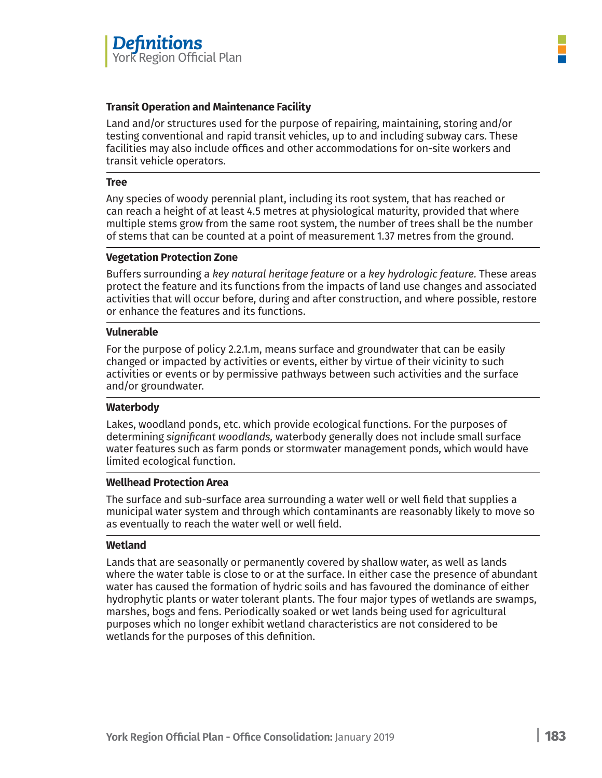

# **Transit Operation and Maintenance Facility**

Land and/or structures used for the purpose of repairing, maintaining, storing and/or testing conventional and rapid transit vehicles, up to and including subway cars. These facilities may also include offices and other accommodations for on-site workers and transit vehicle operators.

#### **Tree**

Any species of woody perennial plant, including its root system, that has reached or can reach a height of at least 4.5 metres at physiological maturity, provided that where multiple stems grow from the same root system, the number of trees shall be the number of stems that can be counted at a point of measurement 1.37 metres from the ground.

# **Vegetation Protection Zone**

Buffers surrounding a *key natural heritage feature* or a *key hydrologic feature.* These areas protect the feature and its functions from the impacts of land use changes and associated activities that will occur before, during and after construction, and where possible, restore or enhance the features and its functions.

### **Vulnerable**

For the purpose of policy 2.2.1.m, means surface and groundwater that can be easily changed or impacted by activities or events, either by virtue of their vicinity to such activities or events or by permissive pathways between such activities and the surface and/or groundwater.

### **Waterbody**

Lakes, woodland ponds, etc. which provide ecological functions. For the purposes of determining *significant woodlands,* waterbody generally does not include small surface water features such as farm ponds or stormwater management ponds, which would have limited ecological function.

# **Wellhead Protection Area**

The surface and sub-surface area surrounding a water well or well field that supplies a municipal water system and through which contaminants are reasonably likely to move so as eventually to reach the water well or well field.

### **Wetland**

Lands that are seasonally or permanently covered by shallow water, as well as lands where the water table is close to or at the surface. In either case the presence of abundant water has caused the formation of hydric soils and has favoured the dominance of either hydrophytic plants or water tolerant plants. The four major types of wetlands are swamps, marshes, bogs and fens. Periodically soaked or wet lands being used for agricultural purposes which no longer exhibit wetland characteristics are not considered to be wetlands for the purposes of this definition.